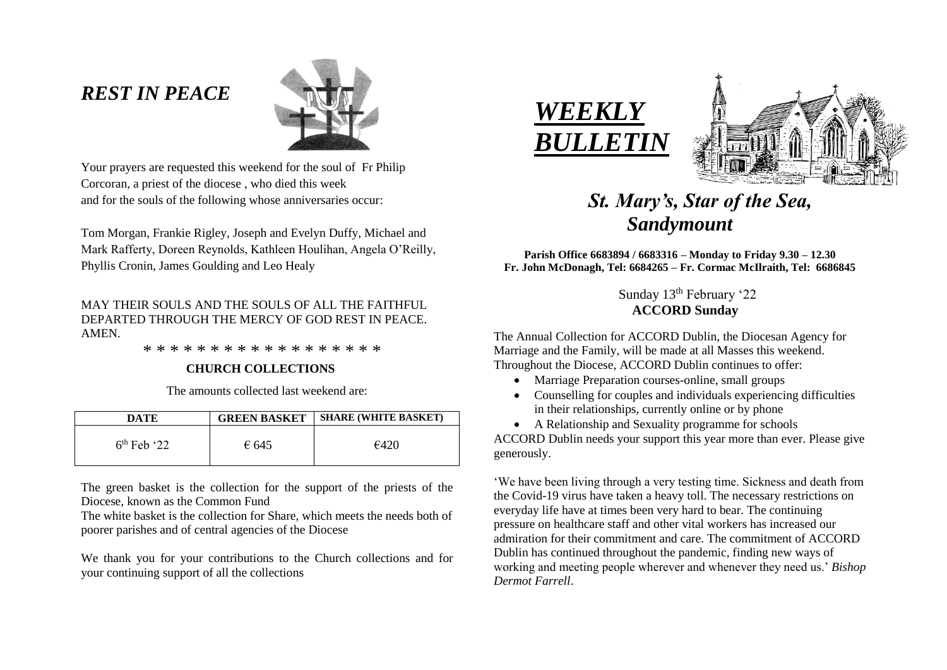# *REST IN PEACE*



Your prayers are requested this weekend for the soul of Fr Philip Corcoran, a priest of the diocese , who died this week and for the souls of the following whose anniversaries occur:

Tom Morgan, Frankie Rigley, Joseph and Evelyn Duffy, Michael and Mark Rafferty, Doreen Reynolds, Kathleen Houlihan, Angela O'Reilly, Phyllis Cronin, James Goulding and Leo Healy

# MAY THEIR SOULS AND THE SOULS OF ALL THE FAITHFUL DEPARTED THROUGH THE MERCY OF GOD REST IN PEACE. AMEN.

\* \* \* \* \* \* \* \* \* \* \* \* \* \* \* \* \* \*

# **CHURCH COLLECTIONS**

The amounts collected last weekend are:

| DATE          | <b>GREEN BASKET</b> | <b>SHARE (WHITE BASKET)</b> |
|---------------|---------------------|-----------------------------|
| $6th$ Feb '22 | € 645               | €420                        |

The green basket is the collection for the support of the priests of the Diocese, known as the Common Fund

The white basket is the collection for Share, which meets the needs both of poorer parishes and of central agencies of the Diocese

We thank you for your contributions to the Church collections and for your continuing support of all the collections





# *St. Mary's, Star of the Sea, Sandymount*

**Parish Office 6683894 / 6683316 – Monday to Friday 9.30 – 12.30 Fr. John McDonagh, Tel: 6684265 – Fr. Cormac McIlraith, Tel: 6686845**

> Sunday 13<sup>th</sup> February '22 **ACCORD Sunday**

The Annual Collection for ACCORD Dublin, the Diocesan Agency for Marriage and the Family, will be made at all Masses this weekend. Throughout the Diocese, ACCORD Dublin continues to offer:

- Marriage Preparation courses-online, small groups
- Counselling for couples and individuals experiencing difficulties in their relationships, currently online or by phone
- A Relationship and Sexuality programme for schools ACCORD Dublin needs your support this year more than ever. Please give generously.

'We have been living through a very testing time. Sickness and death from the Covid-19 virus have taken a heavy toll. The necessary restrictions on everyday life have at times been very hard to bear. The continuing pressure on healthcare staff and other vital workers has increased our admiration for their commitment and care. The commitment of ACCORD Dublin has continued throughout the pandemic, finding new ways of working and meeting people wherever and whenever they need us.' *Bishop Dermot Farrell*.